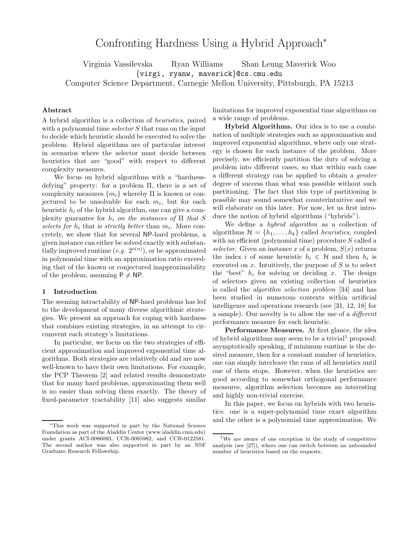# Confronting Hardness Using a Hybrid Approach<sup>∗</sup>

Virginia Vassilevska Ryan Williams Shan Leung Markiel Wood<br>{virgi, ryanw, maverick}@cs.cmu.edu  $\Gamma$  scheme Department, Carnegie  $\Gamma$ 

# **Abstract**

A hybrid algorithm is a collection of heuristics, paired with a polynomial time selector S that runs on the input to decide which heuristic should be executed to solve the problem. Hybrid algorithms are of particular interest in scenarios where the selector must decide between heuristics that are "good" with respect to different complexity measures.

We focus on hybrid algorithms with a "hardnessdefying" property: for a problem Π, there is a set of complexity measures  $\{m_i\}$  whereby  $\Pi$  is known or conjectured to be unsolvable for each  $m_i$ , but for each heuristic  $h_i$  of the hybrid algorithm, one can give a complexity guarantee for  $h_i$  on the instances of  $\Pi$  that S selects for  $h_i$  that is strictly better than  $m_i$ . More concretely, we show that for several NP-hard problems, a given instance can either be solved exactly with substantially improved runtime  $(e.g. 2^{o(n)})$ , or be approximated in polynomial time with an approximation ratio exceeding that of the known or conjectured inapproximability of the problem, assuming  $P \neq NP$ .

# **1 Introduction**

The seeming intractability of NP-hard problems has led to the development of many diverse algorithmic strategies. We present an approach for coping with hardness that combines existing strategies, in an attempt to circumvent each strategy's limitations.

In particular, we focus on the two strategies of efficient approximation and improved exponential time algorithms. Both strategies are relatively old and are now well-known to have their own limitations. For example, the PCP Theorem [2] and related results demonstrate that for many hard problems, approximating them well is no easier than solving them exactly. The theory of fixed-parameter tractability [11] also suggests similar limitations for improved exponential time algorithms on a wide range of problems.

**Hybrid Algorithms.** Our idea is to use a combination of multiple strategies such as approximation and improved exponential algorithms, where only one strategy is chosen for each instance of the problem. More precisely, we efficiently partition the duty of solving a problem into different cases, so that within each case a different strategy can be applied to obtain a greater degree of success than what was possible without such partitioning. The fact that this type of partitioning is possible may sound somewhat counterintuitive and we will elaborate on this later. For now, let us first introduce the notion of hybrid algorithms ("hybrids").

We define a *hybrid algorithm* as a collection of algorithms  $\mathcal{H} = \{h_1, \ldots, h_k\}$  called *heuristics*, coupled with an efficient (polynomial time) procedure S called a selector. Given an instance x of a problem,  $S(x)$  returns the index i of some heuristic  $h_i \in \mathcal{H}$  and then  $h_i$  is executed on  $x$ . Intuitively, the purpose of  $S$  is to select the "best"  $h_i$  for solving or deciding x. The design of selectors given an existing collection of heuristics is called the algorithm selection problem [34] and has been studied in numerous contexts within artificial intelligence and operations research (see [31, 12, 18] for a sample). Our novelty is to allow the use of a different performance measure for each heuristic.

**Performance Measures.** At first glance, the idea of hybrid algorithms may seem to be a trivial proposal: asymptotically speaking, if minimum runtime is the desired measure, then for a constant number of heuristics, one can simply interleave the runs of all heuristics until one of them stops. However, when the heuristics are good according to somewhat orthogonal performance measures, algorithm selection becomes an interesting and highly non-trivial exercise.

In this paper, we focus on hybrids with two heuristics: one is a super-polynomial time exact algorithm and the other is a polynomial time approximation. We

<sup>∗</sup>This work was supported in part by the National Science Foundation as part of the Aladdin Center (www.aladdin.cmu.edu) under grants ACI-0086093, CCR-0085982, and CCR-0122581. The second author was also supported in part by an NSF Graduate Research Fellowship.

<sup>1</sup>We are aware of one exception in the study of competitive analysis (see [27]), where one can switch between an unbounded number of heuristics based on the requests.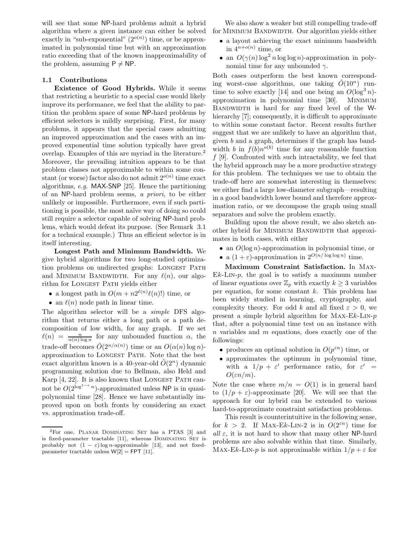will see that some NP-hard problems admit a hybrid algorithm where a given instance can either be solved exactly in "sub-exponential"  $(2^{o(n)})$  time, or be approximated in polynomial time but with an approximation ratio exceeding that of the known inapproximability of the problem, assuming  $P \neq NP$ .

# **1.1 Contributions**

**Existence of Good Hybrids.** While it seems that restricting a heuristic to a special case would likely improve its performance, we feel that the ability to partition the problem space of some NP-hard problems by efficient selectors is mildly surprising. First, for many problems, it appears that the special cases admitting an improved approximation and the cases with an improved exponential time solution typically have great overlap. Examples of this are myriad in the literature.2 Moreover, the prevailing intuition appears to be that problem classes not approximable to within some constant (or worse) factor also do not admit  $2^{o(n)}$  time exact algorithms, e.g. MAX-SNP [25]. Hence the partitioning of an NP-hard problem seems, a priori, to be either unlikely or impossible. Furthermore, even if such partitioning is possible, the most na¨ıve way of doing so could still require a selector capable of solving NP-hard problems, which would defeat its purpose. (See Remark 3.1 for a technical example.) Thus an efficient selector is in itself interesting.

**Longest Path and Minimum Bandwidth.** We give hybrid algorithms for two long-studied optimization problems on undirected graphs: LONGEST PATH and MINIMUM BANDWIDTH. For any  $\ell(n)$ , our algorithm for LONGEST PATH yields either

- a longest path in  $O(m + n2^{\ell(n)}\ell(n)!)$  time, or
- an  $\ell(n)$  node path in linear time.

The algorithm selector will be a simple DFS algorithm that returns either a long path or a path decomposition of low width, for any graph. If we set  $\ell(n) = \frac{n}{\alpha(n) \log n}$  for any unbounded function  $\alpha$ , the trade-off becomes  $\tilde{O}(2^{n/\alpha(n)})$  time or an  $O(\alpha(n)\log n)$ approximation to Longest Path. Note that the best exact algorithm known is a 40-year-old  $O(2^n)$  dynamic programming solution due to Bellman, also Held and Karp [4, 22]. It is also known that LONGEST PATH cannot be  $O(2^{\log^{1-\epsilon} n})$ -approximated unless NP is in quasipolynomial time [28]. Hence we have substantially improved upon on both fronts by considering an exact vs. approximation trade-off.

We also show a weaker but still compelling trade-off for MINIMUM BANDWIDTH. Our algorithm yields either

- a layout achieving the exact minimum bandwidth in  $4^{n+o(n)}$  time, or
- an  $O(\gamma(n)\log^2 n \log \log n)$ -approximation in polynomial time for any unbounded  $\gamma$ .

Both cases outperform the best known corresponding worst-case algorithms, one taking  $\ddot{O}(10^n)$  runtime to solve exactly [14] and one being an  $O(\log^3 n)$ approximation in polynomial time [30]. MINIMUM BANDWIDTH is hard for any fixed level of the Whierarchy [7]; consequently, it is difficult to approximate to within some constant factor. Recent results further suggest that we are unlikely to have an algorithm that, given b and a graph, determines if the graph has bandwidth b in  $f(b)n^{o(b)}$  time for any reasonable function  $f$  [9]. Confronted with such intractability, we feel that the hybrid approach may be a more productive strategy for this problem. The techniques we use to obtain the trade-off here are somewhat interesting in themselves: we either find a large low-diameter subgraph—resulting in a good bandwidth lower bound and therefore approximation ratio, or we decompose the graph using small separators and solve the problem exactly.

Building upon the above result, we also sketch another hybrid for MINIMUM BANDWIDTH that approximates in both cases, with either

- an  $O(\log n)$ -approximation in polynomial time, or
- a  $(1+\varepsilon)$ -approximation in  $2^{O(n/\log \log n)}$  time.

**Maximum Constraint Satisfaction.** In Max- $Ek-LIN-p$ , the goal is to satisfy a maximum number of linear equations over  $\mathbb{Z}_p$  with exactly  $k \geq 3$  variables per equation, for some constant  $k$ . This problem has been widely studied in learning, cryptography, and complexity theory. For odd k and all fixed  $\varepsilon > 0$ , we present a simple hybrid algorithm for MAX- $Ek$ -LIN- $p$ that, after a polynomial time test on an instance with n variables and m equations, does exactly one of the followings:

- produces an optimal solution in  $O(p^{\varepsilon n})$  time, or
- approximates the optimum in polynomial time, with a  $1/p + \varepsilon'$  performance ratio, for  $\varepsilon' =$  $O(\varepsilon n/m)$ .

Note the case where  $m/n = O(1)$  is in general hard to  $(1/p + \varepsilon)$ -approximate [20]. We will see that the approach for our hybrid can be extended to various hard-to-approximate constraint satisfaction problems.

This result is counterintuitive in the following sense, for  $k > 2$ . If MAX-Ek-LIN-2 is in  $O(2^{\varepsilon n})$  time for all  $\varepsilon$ , it is not hard to show that many other NP-hard problems are also solvable within that time. Similarly, Max-Ek-LIN-p is not approximable within  $1/p + \varepsilon$  for

<sup>&</sup>lt;sup>2</sup>For one, PLANAR DOMINATING SET has a PTAS [3] and is fixed-parameter tractable [11], whereas DOMINATING SET is probably not  $(1 - \varepsilon) \log n$ -approximable [13], and not fixedparameter tractable unless  $W[2] = FPT$  [11].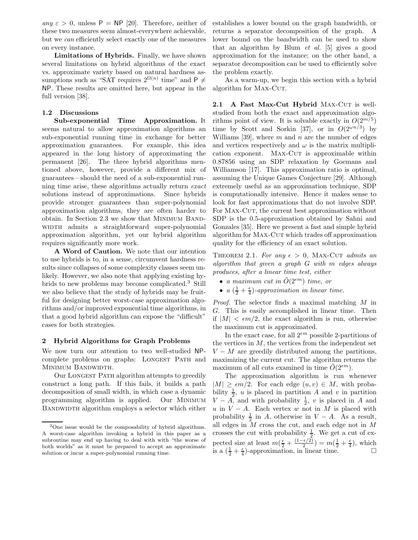any  $\varepsilon > 0$ , unless  $P = NP$  [20]. Therefore, neither of these two measures seem almost-everywhere achievable, but we can efficiently select exactly one of the measures on every instance.

**Limitations of Hybrids.** Finally, we have shown several limitations on hybrid algorithms of the exact vs. approximate variety based on natural hardness assumptions such as "SAT requires  $2^{\Omega(n)}$  time" and P  $\neq$ NP. These results are omitted here, but appear in the full version [38].

# **1.2 Discussions**

**Sub-exponential Time Approximation.** It seems natural to allow approximation algorithms an sub-exponential running time in exchange for better approximation guarantees. For example, this idea appeared in the long history of approximating the permanent [26]. The three hybrid algorithms mentioned above, however, provide a different mix of guarantees—should the need of a sub-exponential running time arise, these algorithms actually return exact solutions instead of approximations. Since hybrids provide stronger guarantees than super-polynomial approximation algorithms, they are often harder to obtain. In Section 2.3 we show that Minimum Band-WIDTH admits a straightforward super-polynomial approximation algorithm, yet our hybrid algorithm requires significantly more work.

**A Word of Caution.** We note that our intention to use hybrids is to, in a sense, circumvent hardness results since collapses of some complexity classes seem unlikely. However, we also note that applying existing hybrids to new problems may become complicated.<sup>3</sup> Still we also believe that the study of hybrids may be fruitful for designing better worst-case approximation algorithms and/or improved exponential time algorithms, in that a good hybrid algorithm can expose the "difficult" cases for both strategies.

## **2 Hybrid Algorithms for Graph Problems**

We now turn our attention to two well-studied NPcomplete problems on graphs: LONGEST PATH and MINIMUM BANDWIDTH.

Our Longest Path algorithm attempts to greedily construct a long path. If this fails, it builds a path decomposition of small width, in which case a dynamic programming algorithm is applied. Our MINIMUM BANDWIDTH algorithm employs a selector which either

establishes a lower bound on the graph bandwidth, or returns a separator decomposition of the graph. A lower bound on the bandwidth can be used to show that an algorithm by Blum et al. [5] gives a good approximation for the instance; on the other hand, a separator decomposition can be used to efficiently solve the problem exactly.

As a warm-up, we begin this section with a hybrid algorithm for MAX-CUT.

2.1 A Fast Max-Cut Hybrid MAX-CUT is wellstudied from both the exact and approximation algorithms point of view. It is solvable exactly in  $O(2^{m/5})$ time by Scott and Sorkin [37], or in  $O(2^{\omega n/3})$  by Williams [39], where  $m$  and  $n$  are the number of edges and vertices respectively and  $\omega$  is the matrix multiplication exponent. MAX-CUT is approximable within 0.87856 using an SDP relaxation by Goemans and Williamson [17]. This approximation ratio is optimal, assuming the Unique Games Conjecture [29]. Although extremely useful as an approximation technique, SDP is computationally intensive. Hence it makes sense to look for fast approximations that do not involve SDP. For MAX-CUT, the current best approximation without SDP is the 0.5-approximation obtained by Sahni and Gonzales [35]. Here we present a fast and simple hybrid algorithm for MAX-CUT which trades off approximation quality for the efficiency of an exact solution.

THEOREM 2.1. For any  $\epsilon > 0$ , MAX-CUT admits an algorithm that given a graph G with m edges always produces, after a linear time test, either

- a maximum cut in  $\tilde{O}(2^{\epsilon m})$  time, or
- $a\left(\frac{1}{2} + \frac{\epsilon}{4}\right)$ -approximation in linear time.

Proof. The selector finds a maximal matching M in G. This is easily accomplished in linear time. Then if  $|M| < \epsilon m/2$ , the exact algorithm is run, otherwise the maximum cut is approximated.

In the exact case, for all  $2^{\epsilon m}$  possible 2-partitions of the vertices in  $M$ , the vertices from the independent set  $V - M$  are greedily distributed among the partitions, maximizing the current cut. The algorithm returns the maximum of all cuts examined in time  $\tilde{O}(2^{\epsilon m})$ .

The approximation algorithm is run whenever  $|M| \geq \epsilon m/2$ . For each edge  $(u, v) \in M$ , with probability  $\frac{1}{2}$ , u is placed in partition A and v in partition  $V - A$  and with probability  $\frac{1}{2}$ , u is placed in A and  $V - A$ , and with probability  $\frac{1}{2}$ , v is placed in A and  $u$  in  $V - A$ . Each vertex  $w$  not in M is placed with u in  $V - A$ . Each vertex w not in M is placed with probability  $\frac{1}{2}$  in A, otherwise in  $V - A$ . As a result, all edges in M cross the cut and each edge not in M all edges in  $M$  cross the cut, and each edge not in  $M$ crosses the cut with probability  $\frac{1}{2}$ . We get a cut of expected size at least  $m(\frac{\epsilon}{2} + \frac{(1-\epsilon/2)}{2}) = m(\frac{1}{2} + \frac{\epsilon}{4})$ , which is a  $(\frac{1}{2} + \frac{\epsilon}{4})$ -approximation, in linear time.

<sup>3</sup>One issue would be the composability of hybrid algorithms. A worst-case algorithm invoking a hybrid in this paper as a subroutine may end up having to deal with with "the worse of both worlds" as it must be prepared to accept an approximate solution or incur a super-polynomial running time.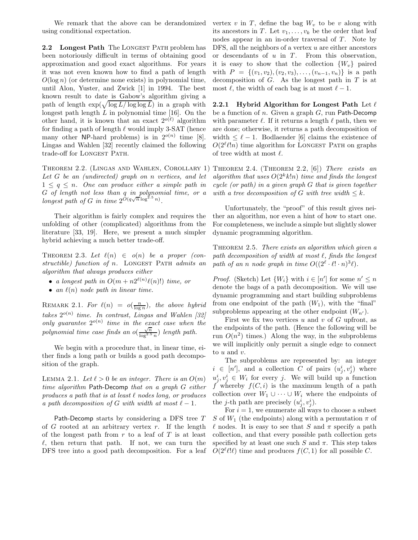We remark that the above can be derandomized using conditional expectation.

2.2 Longest Path The LONGEST PATH problem has been notoriously difficult in terms of obtaining good approximation and good exact algorithms. For years it was not even known how to find a path of length  $O(\log n)$  (or determine none exists) in polynomial time, until Alon, Yuster, and Zwick [1] in 1994. The best known result to date is Gabow's algorithm giving a path of length  $\exp(\sqrt{\log L/\log \log L})$  in a graph with longest path length  $L$  in polynomial time [16]. On the other hand, it is known that an exact  $2^{o(\ell)}$  algorithm for finding a path of length  $\ell$  would imply 3-SAT (hence many other NP-hard problems) is in  $2^{o(n)}$  time [8]. Lingas and Wahlen [32] recently claimed the following trade-off for LONGEST PATH.

Let G be an (undirected) graph on n vertices, and let  $1 \leq q \leq n$ . One can produce either a simple path in G of length not less than q in polynomial time, or a longest path of G in time  $2^{O(q\sqrt{n}\log^{2.5}n)}$ .

Their algorithm is fairly complex and requires the unfolding of other (complicated) algorithms from the literature [33, 19]. Here, we present a much simpler hybrid achieving a much better trade-off.

THEOREM 2.3. Let  $\ell(n) \in o(n)$  be a proper (constructible) function of  $n$ . LONGEST PATH admits an algorithm that always produces either

- a longest path in  $O(m + n2^{\ell(n)}\ell(n)!)$  time, or
- an  $\ell(n)$  node path in linear time.

REMARK 2.1. For  $\ell(n) = o(\frac{n}{\log n})$ , the above hybrid takes  $2^{o(n)}$  time. In contrast, Lingas and Wahlen [32] only guarantee  $2^{o(n)}$  time in the exact case when the polynomial time case finds an  $o(\frac{\sqrt{n}}{\log^{2.5} n})$  length path.

We begin with a procedure that, in linear time, either finds a long path or builds a good path decomposition of the graph.

LEMMA 2.1. Let  $\ell > 0$  be an integer. There is an  $O(m)$ time algorithm Path-Decomp that on a graph G either produces a path that is at least  $\ell$  nodes long, or produces a path decomposition of G with width at most  $\ell - 1$ .

Path-Decomp starts by considering a DFS tree T of  $G$  rooted at an arbitrary vertex  $r$ . If the length of the longest path from  $r$  to a leaf of  $T$  is at least  $\ell$ , then return that path. If not, we can turn the DFS tree into a good path decomposition. For a leaf

vertex v in T, define the bag  $W_v$  to be v along with its ancestors in T. Let  $v_1, \ldots, v_k$  be the order that leaf nodes appear in an in-order traversal of  $T$ . Note by DFS, all the neighbors of a vertex  $u$  are either ancestors or descendants of  $u$  in  $T$ . From this observation, it is easy to show that the collection  $\{W_v\}$  paired with  $P = \{(v_1, v_2), (v_2, v_3), \ldots, (v_{n-1}, v_n)\}\$ is a path decomposition of  $G$ . As the longest path in  $T$  is at most  $\ell$ , the width of each bag is at most  $\ell - 1$ .

**2.2.1 Hybrid Algorithm for Longest Path** Let  $\ell$ be a function of n. Given a graph  $G$ , run Path-Decomp with parameter  $\ell$ . If it returns a length  $\ell$  path, then we are done; otherwise, it returns a path decomposition of width  $\leq \ell - 1$ . Bodlaender [6] claims the existence of  $O(2^{\ell}\ell!n)$  time algorithm for LONGEST PATH on graphs of tree width at most  $\ell$ .

THEOREM 2.2. (LINGAS AND WAHLEN, COROLLARY 1) THEOREM 2.4. (THEOREM 2.2, [6]) There exists an algorithm that uses  $O(2^k k!n)$  time and finds the longest cycle (or path) in a given graph G that is given together with a tree decomposition of G with tree width  $\leq k$ .

> Unfortunately, the "proof" of this result gives neither an algorithm, nor even a hint of how to start one. For completeness, we include a simple but slightly slower dynamic programming algorithm.

> THEOREM 2.5. There exists an algorithm which given a path decomposition of width at most  $\ell$ , finds the longest path of an n node graph in time  $O((2^{\ell} \cdot \ell! \cdot n)^3 \ell)$ .

> *Proof.* (Sketch) Let  $\{W_i\}$  with  $i \in [n']$  for some  $n' \leq n$ denote the bags of a path decomposition. We will use dynamic programming and start building subproblems from one endpoint of the path  $(W_1)$ , with the "final" subproblems appearing at the other endpoint  $(W_{n'})$ .

> First we fix two vertices  $u$  and  $v$  of  $G$  upfront, as the endpoints of the path. (Hence the following will be run  $O(n^2)$  times.) Along the way, in the subproblems we will implicitly only permit a single edge to connect to u and v.

> The subproblems are represented by: an integer  $i \in [n'],$  and a collection C of pairs  $(u_j^i, v_j^i)$  where  $u_j^i, v_j^i \in W_i$  for every j. We will build up a function f whereby  $f(C, i)$  is the maximum length of a path collection over  $W_1 \cup \cdots \cup W_i$  where the endpoints of the *j*-th path are precisely  $(u_j^i, v_j^i)$ .

> For  $i = 1$ , we enumerate all ways to choose a subset S of  $W_1$  (the endpoints) along with a permutation  $\pi$  of  $\ell$  nodes. It is easy to see that S and  $\pi$  specify a path collection, and that every possible path collection gets specified by at least one such S and  $\pi$ . This step takes  $O(2^{\ell} \ell! \ell)$  time and produces  $f(C, 1)$  for all possible C.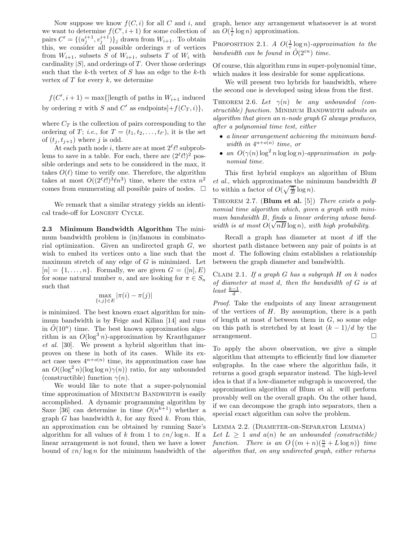Now suppose we know  $f(C, i)$  for all C and i, and we want to determine  $f(C', i+1)$  for some collection of pairs  $C' = \{(u_j^{i+1}, v_j^{i+1})\}_j$  drawn from  $W_{i+1}$ . To obtain this, we consider all possible orderings  $\pi$  of vertices from  $W_{i+1}$ , subsets S of  $W_{i+1}$ , subsets T of  $W_i$  with cardinality  $|S|$ , and orderings of T. Over those orderings such that the  $k$ -th vertex of  $S$  has an edge to the  $k$ -th vertex of  $T$  for every  $k$ , we determine

 $f(C', i + 1) = \max\{\text{length of paths in } W_{i+1} \text{ induced}\}\$ by ordering  $\pi$  with S and C' as endpoints] $+f(C_T,i)$ ,

where  $C_T$  is the collection of pairs corresponding to the ordering of T; *i.e.*, for  $T = (t_1, t_2, \ldots, t_{\ell'})$ , it is the set of  $(t_j, t_{j+1})$  where j is odd.

At each path node i, there are at most  $2^{\ell}$ l! subproblems to save in a table. For each, there are  $(2^{\ell}\ell!)^2$  possible orderings and sets to be considered in the max, it takes  $O(\ell)$  time to verify one. Therefore, the algorithm takes at most  $O((2^{\ell}\ell!)^3\ell n^3)$  time, where the extra  $n^2$ comes from enumerating all possible pairs of nodes.  $\Box$ 

We remark that a similar strategy yields an identical trade-off for LONGEST CYCLE.

**2.3 Minimum Bandwidth Algorithm** The minimum bandwidth problem is (in)famous in combinatorial optimization. Given an undirected graph G, we wish to embed its vertices onto a line such that the maximum stretch of any edge of  $G$  is minimized. Let  $[n] = \{1, \ldots, n\}$ . Formally, we are given  $G = ([n], E)$ for some natural number n, and are looking for  $\pi \in S_n$ such that

$$
\max_{\{i,j\}\in E}|\pi(i)-\pi(j)|
$$

is minimized. The best known exact algorithm for minimum bandwidth is by Feige and Kilian [14] and runs in  $\tilde{O}(10^n)$  time. The best known approximation algorithm is an  $O(\log^3 n)$ -approximation by Krauthgamer et al. [30]. We present a hybrid algorithm that improves on these in both of its cases. While its exact case uses  $4^{n+o(n)}$  time, its approximation case has an  $O((\log^2 n)(\log \log n)\gamma(n))$  ratio, for any unbounded (constructible) function  $\gamma(n)$ .

We would like to note that a super-polynomial time approximation of MINIMUM BANDWIDTH is easily accomplished. A dynamic programming algorithm by Saxe [36] can determine in time  $O(n^{k+1})$  whether a graph G has bandwidth  $k$ , for any fixed  $k$ . From this, an approximation can be obtained by running Saxe's algorithm for all values of k from 1 to  $\epsilon n / \log n$ . If a linear arrangement is not found, then we have a lower bound of  $\epsilon n / \log n$  for the minimum bandwidth of the graph, hence any arrangement whatsoever is at worst an  $O(\frac{1}{\varepsilon} \log n)$  approximation.

PROPOSITION 2.1. A  $O(\frac{1}{\varepsilon} \log n)$ -approximation to the bandwidth can be found in  $\tilde{O}(2^{\varepsilon n})$  time.

Of course, this algorithm runs in super-polynomial time, which makes it less desirable for some applications.

We will present two hybrids for bandwidth, where the second one is developed using ideas from the first.

THEOREM 2.6. Let  $\gamma(n)$  be any unbounded (constructible) function. MINIMUM BANDWIDTH admits an algorithm that given an n-node graph G always produces, after a polynomial time test, either

- a linear arrangement achieving the minimum bandwidth in  $4^{n+o(n)}$  time, or
- an  $O(\gamma(n)\log^2 n \log \log n)$ -approximation in polynomial time.

This first hybrid employs an algorithm of Blum et al., which approximates the minimum bandwidth B to within a factor of  $O(\sqrt{\frac{n}{B}} \log n)$ .

Theorem 2.7. (**Blum et al.** [5]) There exists a polynomial time algorithm which, given a graph with minimum bandwidth  $B$ , finds a linear ordering whose bandwidth is at most  $O(\sqrt{nB}\log n)$ , with high probability.

Recall a graph has diameter at most  $d$  iff the shortest path distance between any pair of points is at most d. The following claim establishes a relationship between the graph diameter and bandwidth.

CLAIM 2.1. If a graph  $G$  has a subgraph  $H$  on  $k$  nodes of diameter at most d, then the bandwidth of G is at  $least \frac{k-1}{d}$ .

Proof. Take the endpoints of any linear arrangement of the vertices of  $H$ . By assumption, there is a path of length at most  $d$  between them in  $G$ , so some edge on this path is stretched by at least  $(k-1)/d$  by the  $\Box$  arrangement.

To apply the above observation, we give a simple algorithm that attempts to efficiently find low diameter subgraphs. In the case where the algorithm fails, it returns a good graph separator instead. The high-level idea is that if a low-diameter subgraph is uncovered, the approximation algorithm of Blum et al. will perform provably well on the overall graph. On the other hand, if we can decompose the graph into separators, then a special exact algorithm can solve the problem.

Lemma 2.2. (Diameter-or-Separator Lemma)

Let  $L \geq 1$  and  $a(n)$  be an unbounded (constructible) function. There is an  $O((m+n)(\frac{n}{a}+L\log n))$  time algorithm that, on any undirected graph, either returns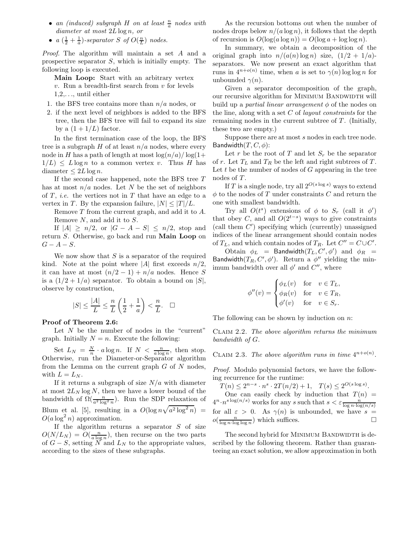- an (induced) subgraph  $H$  on at least  $\frac{n}{a}$  nodes with diameter at most  $2L \log n$ , or
- $a\left(\frac{1}{2} + \frac{1}{a}\right)$ -separator S of  $O(\frac{n}{L})$  nodes.

Proof. The algorithm will maintain a set A and a prospective separator S, which is initially empty. The following loop is executed.

**Main Loop:** Start with an arbitrary vertex  $v$ . Run a breadth-first search from  $v$  for levels 1,2,..., until either

- 1. the BFS tree contains more than  $n/a$  nodes, or
- 2. if the next level of neighbors is added to the BFS tree, then the BFS tree will fail to expand its size by a  $(1+1/L)$  factor.

In the first termination case of the loop, the BFS tree is a subgraph  $H$  of at least  $n/a$  nodes, where every node in H has a path of length at most  $\log(n/a)/\log(1+$  $1/L$   $\leq L \log n$  to a common vertex v. Thus H has diameter  $\leq 2L \log n$ .

If the second case happened, note the BFS tree T has at most  $n/a$  nodes. Let N be the set of neighbors of  $T$ , *i.e.* the vertices not in  $T$  that have an edge to a vertex in T. By the expansion failure,  $|N| \leq |T|/L$ .

Remove T from the current graph, and add it to A. Remove N, and add it to S.

If  $|A| \geq n/2$ , or  $|G - A - S| \leq n/2$ , stop and return S. Otherwise, go back and run **Main Loop** on  $G - A - S$ .

We now show that  $S$  is a separator of the required kind. Note at the point where |A| first exceeds  $n/2$ , it can have at most  $(n/2 - 1) + n/a$  nodes. Hence S is a  $(1/2+1/a)$  separator. To obtain a bound on  $|S|$ , observe by construction,

$$
|S| \leq \frac{|A|}{L} \leq \frac{n}{L}\left(\frac{1}{2} + \frac{1}{a}\right) < \frac{n}{L}. \quad \Box
$$

#### **Proof of Theorem 2.6:**

Let  $N$  be the number of nodes in the "current" graph. Initially  $N = n$ . Execute the following:

Set  $L_N = \frac{N}{n} \cdot a \log n$ . If  $N < \frac{n}{a \log n}$ , then stop. Otherwise, run the Diameter-or-Separator algorithm from the Lemma on the current graph  $G$  of  $N$  nodes, with  $L = L_N$ .

If it returns a subgraph of size  $N/a$  with diameter at most  $2L_N \log N$ , then we have a lower bound of the bandwidth of  $\Omega(\frac{n}{a^2 \log^2 n})$ . Run the SDP relaxation of Blum et al. [5], resulting in a  $O(\log n \sqrt{a^2 \log^2 n})$  =  $O(a \log^2 n)$  approximation.

If the algorithm returns a separator  $S$  of size  $O(N/L_N) = O(\frac{n}{a \log n})$ , then recurse on the two parts of  $G - S$ , setting N and  $L_N$  to the appropriate values, according to the sizes of these subgraphs.

As the recursion bottoms out when the number of nodes drops below  $n/(a \log n)$ , it follows that the depth of recursion is  $O(\log(a \log n)) = O(\log a + \log \log n)$ .

In summary, we obtain a decomposition of the original graph into  $n/(a(n) \log n)$  size,  $(1/2 + 1/a)$ separators. We now present an exact algorithm that runs in  $4^{n+o(n)}$  time, when a is set to  $\gamma(n)$  log log n for unbounded  $\gamma(n)$ .

Given a separator decomposition of the graph, our recursive algorithm for MINIMUM BANDWIDTH will build up a *partial linear arrangement*  $\phi$  of the nodes on the line, along with a set  $C$  of *layout constraints* for the remaining nodes in the current subtree of  $T$ . (Initially, these two are empty.)

Suppose there are at most s nodes in each tree node. Bandwidth $(T, C, \phi)$ :

Let r be the root of T and let  $S_r$  be the separator of r. Let  $T_L$  and  $T_R$  be the left and right subtrees of T. Let  $t$  be the number of nodes of  $G$  appearing in the tree nodes of T.

If T is a single node, try all  $2^{O(s \log s)}$  ways to extend  $\phi$  to the nodes of T under constraints C and return the one with smallest bandwidth.

Try all  $O(t^s)$  extensions of  $\phi$  to  $S_r$  (call it  $\phi'$ ) that obey C, and all  $O(2^{t-s})$  ways to give constraints (call them  $C'$ ) specifying which (currently) unassigned indices of the linear arrangement should contain nodes of  $T_L$ , and which contain nodes of  $T_R$ . Let  $C'' = C \cup C'$ .

Obtain  $\phi_L$  = Bandwidth $(T_L, C', \phi')$  and  $\phi_R$  = Bandwidth $(T_R, C', \phi')$ . Return a  $\phi''$  yielding the minimum bandwidth over all  $\phi'$  and  $C''$ , where

$$
\phi''(v) = \begin{cases} \phi_L(v) & \text{for } v \in T_L, \\ \phi_R(v) & \text{for } v \in T_R, \\ \phi'(v) & \text{for } v \in S_r. \end{cases}
$$

The following can be shown by induction on  $n$ :

Claim 2.2. The above algorithm returns the minimum bandwidth of G.

CLAIM 2.3. The above algorithm runs in time  $4^{n+o(n)}$ .

Proof. Modulo polynomial factors, we have the following recurrence for the runtime:

 $T(n) \le 2^{n-s} \cdot n^s \cdot 2T(n/2) + 1, \quad T(s) \le 2^{O(s \log s)}$ . One can easily check by induction that  $T(n)$  =  $4^n \cdot n^{s \log(n/s)}$  works for any s such that  $s < \varepsilon \frac{n}{\log n \log(n/s)}$ for all  $\varepsilon > 0$ . As  $\gamma(n)$  is unbounded, we have  $s =$  $o(\frac{n}{\log n \cdot \log \log n})$  which suffices.

The second hybrid for MINIMUM BANDWIDTH is described by the following theorem. Rather than guaranteeing an exact solution, we allow approximation in both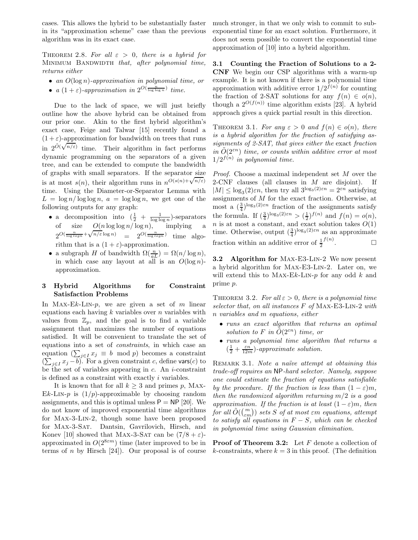cases. This allows the hybrid to be substantially faster in its "approximation scheme" case than the previous algorithm was in its exact case.

THEOREM 2.8. For all  $\varepsilon > 0$ , there is a hybrid for MINIMUM BANDWIDTH that, after polynomial time, returns either

- an  $O(\log n)$ -approximation in polynomial time, or
- $a(1+\varepsilon)$ -approximation in  $2^{O(\frac{n}{\log \log n})}$  time.

Due to the lack of space, we will just briefly outline how the above hybrid can be obtained from our prior one. Akin to the first hybrid algorithm's exact case, Feige and Talwar [15] recently found a  $(1 + \varepsilon)$ -approximation for bandwidth on trees that runs  $(1 + \varepsilon)$ -approximation for bandwidth on trees that runs<br>in  $2^{\tilde{O}(\sqrt{n/\varepsilon})}$  time. Their algorithm in fact performs dynamic programming on the separators of a given tree, and can be extended to compute the bandwidth of graphs with small separators. If the separator size is at most  $s(n)$ , their algorithm runs in  $n^{\tilde{O}(s(n)+\sqrt{n/\varepsilon})}$ time. Using the Diameter-or-Separator Lemma with  $L = \log n / \log \log n$ ,  $a = \log \log n$ , we get one of the following outputs for any graph:

- a decomposition into  $(\frac{1}{2} + \frac{1}{\log \log n})$ -separators<br>of size  $O(n \log \log n / \log n)$ , implying a or size  $O(n \log \log n) \log n$ , implying a<br>  $2^{O(\frac{n}{\log \log n} + \sqrt{n/\varepsilon} \log n)} = 2^{O(\frac{n}{\log \log n})}$  time algorithm that is a  $(1 + \varepsilon)$ -approximation.
- a subgraph H of bandwidth  $\Omega(\frac{n}{aL}) = \Omega(n/\log n)$ , in which case any layout at all is an  $O(\log n)$ approximation.

# **3 Hybrid Algorithms for Constraint Satisfaction Problems**

In MAX-Ek-LIN-p, we are given a set of m linear equations each having  $k$  variables over  $n$  variables with values from  $\mathbb{Z}_p$ , and the goal is to find a variable assignment that maximizes the number of equations satisfied. It will be convenient to translate the set of equations into a set of constraints, in which case an equation  $(\sum_{j\in I} x_j \equiv b \mod p)$  becomes a constraint  $(\sum_{j\in I} x_j - b)$ . For a given constraint c, define vars(c) to be the set of variables appearing in  $c$ . An *i*-constraint is defined as a constraint with exactly i variables.

It is known that for all  $k \geq 3$  and primes p, MAX-Ek-LIN-p is  $(1/p)$ -approximable by choosing random assignments, and this is optimal unless  $P = NP$  [20]. We do not know of improved exponential time algorithms for Max-3-Lin-2, though some have been proposed for Max-3-Sat. Dantsin, Gavrilovich, Hirsch, and Konev [10] showed that MAX-3-SAT can be  $(7/8 + \varepsilon)$ approximated in  $O(2^{8\varepsilon m})$  time (later improved to be in terms of *n* by Hirsch  $[24]$ . Our proposal is of course much stronger, in that we only wish to commit to subexponential time for an exact solution. Furthermore, it does not seem possible to convert the exponential time approximation of [10] into a hybrid algorithm.

**3.1 Counting the Fraction of Solutions to a 2- CNF** We begin our CSP algorithms with a warm-up example. It is not known if there is a polynomial time approximation with additive error  $1/2^{f(n)}$  for counting the fraction of 2-SAT solutions for any  $f(n) \in o(n)$ , though a  $2^{O(f(n))}$  time algorithm exists [23]. A hybrid approach gives a quick partial result in this direction.

THEOREM 3.1. For any  $\varepsilon > 0$  and  $f(n) \in o(n)$ , there is a hybrid algorithm for the fraction of satisfying assignments of 2-SAT, that gives either the exact fraction in  $O(2^{\varepsilon n})$  time, or counts within additive error at most  $1/2^{f(n)}$  in polynomial time.

Proof. Choose a maximal independent set M over the 2-CNF clauses (all clauses in  $M$  are disjoint). If  $|M| \leq \log_3(2)\varepsilon n$ , then try all  $3^{\log_3(2)\varepsilon n} = 2^{\varepsilon n}$  satisfying<br>assignments of M for the exact fraction. Otherwise at assignments of M for the exact fraction. Otherwise, at most a  $\left(\frac{3}{4}\right)^{\log_3(2)\varepsilon n}$  fraction of the assignments satisfy<br>the formula If  $\left(\frac{3}{2}\right)^{\log_2(2)\varepsilon n} \leq \left(\frac{1}{2}\right)^{\varepsilon} \left(\frac{n}{2}\right)$  and  $f(n) = o(n)$ the formula. If  $(\frac{3}{4})^{\log_3(2)\varepsilon n} > (\frac{1}{2})^{f(n)}$  and  $f(n) = o(n)$ ,<br>n is at most a constant, and exact solution takes  $O(1)$ n is at most a constant, and exact solution takes  $O(1)$ time. Otherwise, output  $(\frac{3}{4})^{\log_3(2)\varepsilon n}$  as an approximate fraction within an additive error of  $\frac{1}{2}$  $f(n)$  $\Box$ 

**3.2 Algorithm for** Max-E3-Lin-2 We now present a hybrid algorithm for Max-E3-Lin-2. Later on, we will extend this to MAX-Ek-LIN-p for any odd  $k$  and prime p.

THEOREM 3.2. For all  $\varepsilon > 0$ , there is a polynomial time selector that, on all instances F of Max-E3-Lin-2 with n variables and m equations, either

- runs an exact algorithm that returns an optimal solution to F in  $\tilde{O}(2^{\varepsilon n})$  time, or
- runs a polynomial time algorithm that returns a  $\left(\frac{1}{2} + \frac{\varepsilon n}{12m}\right)$ -approximate solution.

REMARK 3.1. Note a naïve attempt at obtaining this trade-off requires an NP-hard selector. Namely, suppose one could estimate the fraction of equations satisfiable by the procedure. If the fraction is less than  $(1 - \varepsilon)m$ , then the randomized algorithm returning  $m/2$  is a good approximation. If the fraction is at least  $(1 - \varepsilon)m$ , then  ${\it for \ all} \ \tilde{O}(\binom{m}{\varepsilon m}) \ {\it sets \ } S \ {\it of \ at \ most \ {\it em \ equations}, \ attempt}$ to satisfy all equations in  $F - S$ , which can be checked in polynomial time using Gaussian elimination.

**Proof of Theorem 3.2:** Let F denote a collection of k-constraints, where  $k = 3$  in this proof. (The definition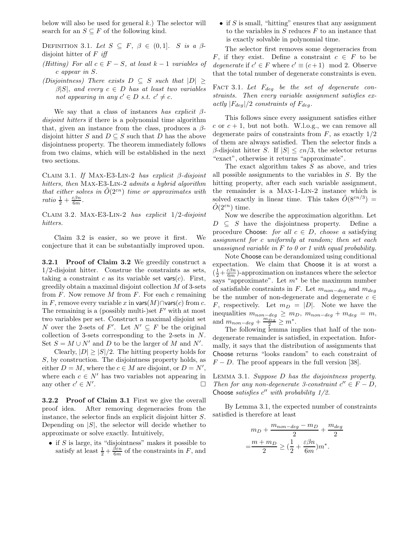below will also be used for general  $k$ .) The selector will search for an  $S \subseteq F$  of the following kind.

DEFINITION 3.1. Let  $S \subseteq F$ ,  $\beta \in (0,1]$ . S is a  $\beta$ disjoint hitter of  $F$  iff

- (Hitting) For all  $c \in F S$ , at least  $k 1$  variables of c appear in S.
- (Disjointness) There exists  $D \subseteq S$  such that  $|D| \geq$  $\beta|S|$ , and every  $c \in D$  has at least two variables not appearing in any  $c' \in D$  s.t.  $c' \neq c$ .

We say that a class of instances has explicit  $\beta$ disjoint hitters if there is a polynomial time algorithm that, given an instance from the class, produces a  $\beta$ disjoint hitter S and  $D \subseteq S$  such that D has the above disjointness property. The theorem immediately follows from two claims, which will be established in the next two sections.

CLAIM 3.1. If MAX-E3-LIN-2 has explicit  $\beta$ -disjoint hitters, then MAX-E3-LIN-2 admits a hybrid algorithm that either solves in  $\tilde{O}(2^{\varepsilon n})$  time or approximates with ratio  $\frac{1}{2} + \frac{\varepsilon \beta n}{6m}$ .

CLAIM 3.2. MAX-E3-LIN-2 has explicit  $1/2$ -disjoint hitters.

Claim 3.2 is easier, so we prove it first. We conjecture that it can be substantially improved upon.

**3.2.1 Proof of Claim 3.2** We greedily construct a 1/2-disjoint hitter. Construe the constraints as sets, taking a constraint c as its variable set vars $(c)$ . First, greedily obtain a maximal disjoint collection  $M$  of 3-sets from  $F$ . Now remove  $M$  from  $F$ . For each  $c$  remaining in F, remove every variable x in vars $(M)$ ∩vars $(c)$  from c. The remaining is a (possibly multi-)set  $F'$  with at most two variables per set. Construct a maximal disjoint set N over the 2-sets of F'. Let  $N' \subseteq F$  be the original collection of 3-sets corresponding to the 2-sets in N. Set  $S = M \cup N'$  and D to be the larger of M and N'.

Clearly,  $|D| \ge |S|/2$ . The hitting property holds for S, by construction. The disjointness property holds, as either  $D = M$ , where the  $c \in M$  are disjoint, or  $D = N'$ , where each  $c \in N'$  has two variables not appearing in any other  $c' \in N'$ . The contract of the contract of  $\Box$ 

**3.2.2 Proof of Claim 3.1** First we give the overall proof idea. After removing degeneracies from the instance, the selector finds an explicit disjoint hitter S. Depending on  $|S|$ , the selector will decide whether to approximate or solve exactly. Intuitively,

• if  $S$  is large, its "disjointness" makes it possible to satisfy at least  $\frac{1}{2} + \frac{\beta \varepsilon n}{6m}$  of the constraints in F, and • if  $S$  is small, "hitting" ensures that any assignment to the variables in  $S$  reduces  $F$  to an instance that is exactly solvable in polynomial time.

The selector first removes some degeneracies from F, if they exist. Define a constraint  $c \in F$  to be degenerate if  $c' \in F$  where  $c' \equiv (c+1) \mod 2$ . Observe that the total number of degenerate constraints is even.

FACT 3.1. Let  $F_{deg}$  be the set of degenerate constraints. Then every variable assignment satisfies exactly  $|F_{deg}|/2$  constraints of  $F_{deg}$ .

This follows since every assignment satisfies either c or  $c + 1$ , but not both. W.l.o.g., we can remove all degenerate pairs of constraints from  $F$ , as exactly  $1/2$ of them are always satisfied. Then the selector finds a β-disjoint hitter S. If  $|S| \leq \varepsilon n/3$ , the selector returns "exact", otherwise it returns "approximate".

The exact algorithm takes  $S$  as above, and tries all possible assignments to the variables in S. By the hitting property, after each such variable assignment, the remainder is a Max-1-Lin-2 instance which is solved exactly in linear time. This takes  $\tilde{O}(8^{\epsilon n/3})$  =  $O(2^{\varepsilon n})$  time.

Now we describe the approximation algorithm. Let  $D \subseteq S$  have the disjointness property. Define a procedure Choose: for all  $c \in D$ , choose a satisfying assignment for c uniformly at random; then set each unassigned variable in  $F$  to 0 or 1 with equal probability.

Note Choose can be derandomized using conditional expectation. We claim that Choose it is at worst a  $\left(\frac{1}{2} + \frac{\varepsilon \beta n}{6m}\right)$ -approximation on instances where the selector says "approximate". Let  $m^*$  be the maximum number of satisfiable constraints in F. Let  $m_{non-deg}$  and  $m_{deg}$ be the number of non-degenerate and degenerate  $c \in$ F, respectively. Let  $m_D = |D|$ . Note we have the inequalities  $m_{non-deg} \ge m_D$ ,  $m_{non-deg} + m_{deg} = m$ , and  $m_{non-deg} + \frac{m_{deg}}{2} \geq m^*$ .<br>The following lemma in

The following lemma implies that half of the nondegenerate remainder is satisfied, in expectation. Informally, it says that the distribution of assignments that Choose returns "looks random" to each constraint of  $F - D$ . The proof appears in the full version [38].

Lemma 3.1. Suppose D has the disjointness property. Then for any non-degenerate 3-constraint  $c'' \in F - D$ , Choose satisfies  $c''$  with probability  $1/2$ .

By Lemma 3.1, the expected number of constraints satisfied is therefore at least

$$
m_D + \frac{m_{non-deg} - m_D}{2} + \frac{m_{deg}}{2}
$$

$$
= \frac{m + m_D}{2} \ge (\frac{1}{2} + \frac{\varepsilon \beta n}{6m})m^*.
$$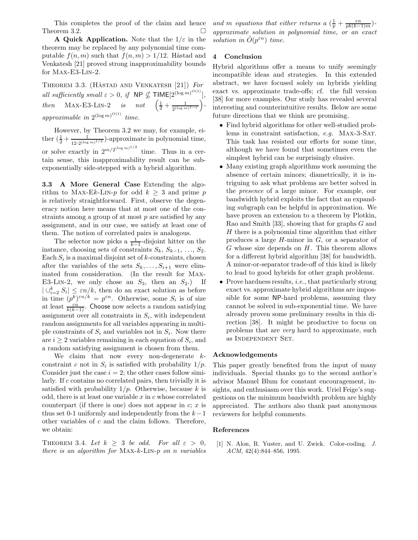This completes the proof of the claim and hence Theorem 3.2.  $\Box$ 

**A Quick Application.** Note that the  $1/\varepsilon$  in the theorem may be replaced by any polynomial time computable  $f(n, m)$  such that  $f(n, m) > 1/12$ . Håstad and Venkatesh [21] proved strong inapproximability bounds for Max-E3-Lin-2.

THEOREM 3.3. (HÅSTAD AND VENKATESH  $[21]$ ) For all sufficiently small  $\varepsilon > 0$ , if  $\mathsf{NP} \nsubseteq \mathsf{TIME}[2^{(\log m)^{O(1)}}],$ then MAX-E3-LIN-2 is not  $\left(\frac{1}{2} + \frac{1}{2^{(\log m)^{1-\varepsilon}}} \right)$  $\big)$  approximable in  $2^{(\log m)^{O(1)}}$  time.

However, by Theorem 3.2 we may, for example, either  $(\frac{1}{2} + \frac{1}{12 \cdot 2^{(\log m)^{1/2}}})$ -approximate in polynomial time, or solve exactly in  $2^{m/2^{(\log m)^{1/2}}}$  time. Thus in a certain sense, this inapproximability result can be subexponentially side-stepped with a hybrid algorithm.

**3.3 A More General Case** Extending the algorithm to MAX-Ek-LIN-p for odd  $k \geq 3$  and prime p is relatively straightforward. First, observe the degeneracy notion here means that at most one of the constraints among a group of at most p are satisfied by any assignment, and in our case, we satisfy at least one of them. The notion of correlated pairs is analogous.

The selector now picks a  $\frac{1}{k-1}$ -disjoint hitter on the instance, choosing sets of constraints  $S_k$ ,  $S_{k-1}$ , ...,  $S_2$ . Each  $S_i$  is a maximal disjoint set of  $k$ -constraints, chosen after the variables of the sets  $S_k, \ldots, S_{i+1}$  were eliminated from consideration. (In the result for Max-E3-LIN-2, we only chose an  $S_3$ , then an  $S_2$ .) If  $|\bigcup_{i=2}^k S_i| \leq \varepsilon n/k$ , then do an exact solution as before<br>in time  $(e^k)^{\varepsilon n/k} = e^{\varepsilon n}$ . Otherwise, some *S*, is of size in time  $(p^{\overline{k}})^{\varepsilon n/k} = p^{\varepsilon n}$ . Otherwise, some  $S_i$  is of size at least  $\frac{\varepsilon n}{k(k-1)}$ . Choose now selects a random satisfying assignment over all constraints in  $S_i$ , with independent random assignments for all variables appearing in multiple constraints of  $S_i$  and variables not in  $S_i$ . Now there are  $i \geq 2$  variables remaining in each equation of  $S_i$ , and a random satisfying assignment is chosen from them.

We claim that now every non-degenerate  $k$ constraint c not in  $S_i$  is satisfied with probability  $1/p$ . Consider just the case  $i = 2$ ; the other cases follow similarly. If c contains no correlated pairs, then trivially it is satisfied with probability  $1/p$ . Otherwise, because k is odd, there is at least one variable  $x$  in  $c$  whose correlated counterpart (if there is one) does not appear in  $c; x$  is thus set 0-1 uniformly and independently from the  $k-1$ other variables of c and the claim follows. Therefore, we obtain:

THEOREM 3.4. Let  $k \geq 3$  be odd. For all  $\varepsilon > 0$ , there is an algorithm for Max-k-Lin-p on n variables and m equations that either returns  $a\left(\frac{1}{p} + \frac{\varepsilon n}{pk(k-1)m}\right)$ -<br>converging to solution in polynomial time, or an exact approximate solution in polynomial time, or an exact solution in  $O(p^{\varepsilon n})$  time.

# **4 Conclusion**

Hybrid algorithms offer a means to unify seemingly incompatible ideas and strategies. In this extended abstract, we have focused solely on hybrids yielding exact vs. approximate trade-offs; cf. the full version [38] for more examples. Our study has revealed several interesting and counterintuitive results. Below are some future directions that we think are promising.

- Find hybrid algorithms for other well-studied problems in constraint satisfaction, e.g. Max-3-Sat. This task has resisted our efforts for some time, although we have found that sometimes even the simplest hybrid can be surprisingly elusive.
- Many existing graph algorithms work assuming the absence of certain minors; diametrically, it is intriguing to ask what problems are better solved in the presence of a large minor. For example, our bandwidth hybrid exploits the fact that an expanding subgraph can be helpful in approximation. We have proven an extension to a theorem by Plotkin, Rao and Smith [33], showing that for graphs G and H there is a polynomial time algorithm that either produces a large  $H$ -minor in  $G$ , or a separator of  $G$  whose size depends on  $H$ . This theorem allows for a different hybrid algorithm [38] for bandwidth. A minor-or-separator trade-off of this kind is likely to lead to good hybrids for other graph problems.
- Prove hardness results, *i.e.*, that particularly strong exact vs. approximate hybrid algorithms are impossible for some NP-hard problems, assuming they cannot be solved in sub-exponential time. We have already proven some preliminary results in this direction [38]. It might be productive to focus on problems that are very hard to approximate, such as Independent Set.

# **Acknowledgements**

This paper greatly benefited from the input of many individuals. Special thanks go to the second author's advisor Manuel Blum for constant encouragement, insights, and enthusiasm over this work. Uriel Feige's suggestions on the minimum bandwidth problem are highly appreciated. The authors also thank past anonymous reviewers for helpful comments.

#### **References**

[1] N. Alon, R. Yuster, and U. Zwick. Color-coding. *J. ACM*, 42(4):844–856, 1995.